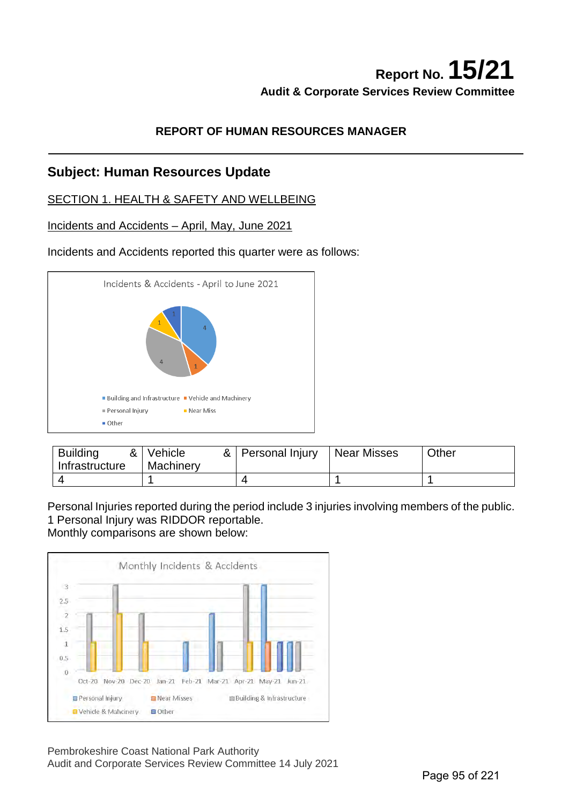## **Report No. 15/21 Audit & Corporate Services Review Committee**

## **REPORT OF HUMAN RESOURCES MANAGER**

## **Subject: Human Resources Update**

## SECTION 1. HEALTH & SAFETY AND WELLBEING

### Incidents and Accidents – April, May, June 2021

### Incidents and Accidents reported this quarter were as follows:



| <b>Building</b><br>& ।<br>Infrastructure | Vehicle<br>Machinery | &   Personal Injury | Near Misses | Other |
|------------------------------------------|----------------------|---------------------|-------------|-------|
|                                          |                      |                     |             |       |

Personal Injuries reported during the period include 3 injuries involving members of the public. 1 Personal Injury was RIDDOR reportable. Monthly comparisons are shown below:



Pembrokeshire Coast National Park Authority Audit and Corporate Services Review Committee 14 July 2021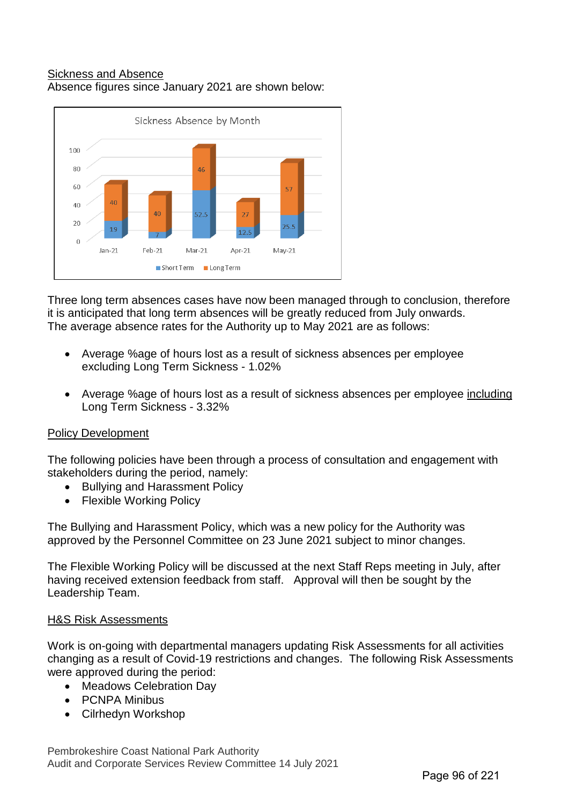### Sickness and Absence Absence figures since January 2021 are shown below:



Three long term absences cases have now been managed through to conclusion, therefore it is anticipated that long term absences will be greatly reduced from July onwards. The average absence rates for the Authority up to May 2021 are as follows:

- Average %age of hours lost as a result of sickness absences per employee excluding Long Term Sickness - 1.02%
- Average %age of hours lost as a result of sickness absences per employee including Long Term Sickness - 3.32%

## Policy Development

The following policies have been through a process of consultation and engagement with stakeholders during the period, namely:

- Bullying and Harassment Policy
- **Flexible Working Policy**

The Bullying and Harassment Policy, which was a new policy for the Authority was approved by the Personnel Committee on 23 June 2021 subject to minor changes.

The Flexible Working Policy will be discussed at the next Staff Reps meeting in July, after having received extension feedback from staff. Approval will then be sought by the Leadership Team.

### H&S Risk Assessments

Work is on-going with departmental managers updating Risk Assessments for all activities changing as a result of Covid-19 restrictions and changes. The following Risk Assessments were approved during the period:

- Meadows Celebration Day
- PCNPA Minibus
- Cilrhedyn Workshop

Pembrokeshire Coast National Park Authority Audit and Corporate Services Review Committee 14 July 2021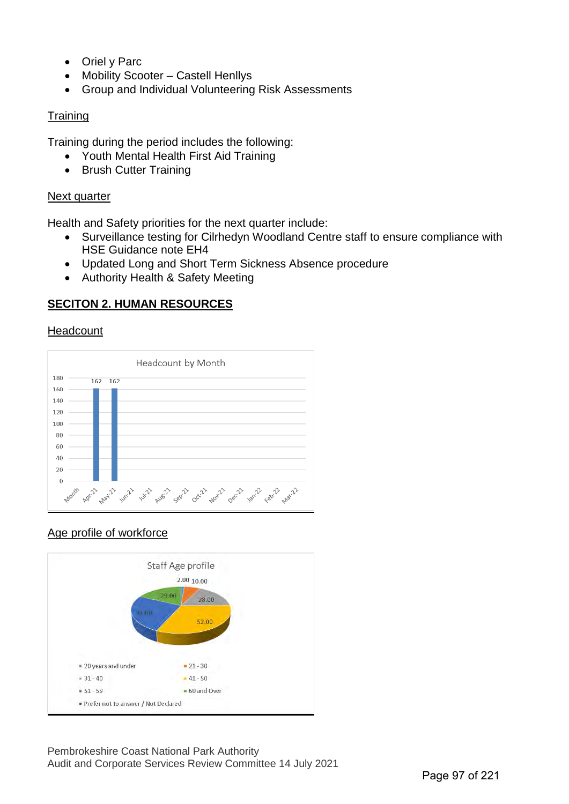- Oriel y Parc
- Mobility Scooter Castell Henllys
- Group and Individual Volunteering Risk Assessments

## **Training**

Training during the period includes the following:

- Youth Mental Health First Aid Training
- Brush Cutter Training

## Next quarter

Health and Safety priorities for the next quarter include:

- Surveillance testing for Cilrhedyn Woodland Centre staff to ensure compliance with HSE Guidance note EH4
- Updated Long and Short Term Sickness Absence procedure
- Authority Health & Safety Meeting

## **SECITON 2. HUMAN RESOURCES**

## Headcount



## Age profile of workforce

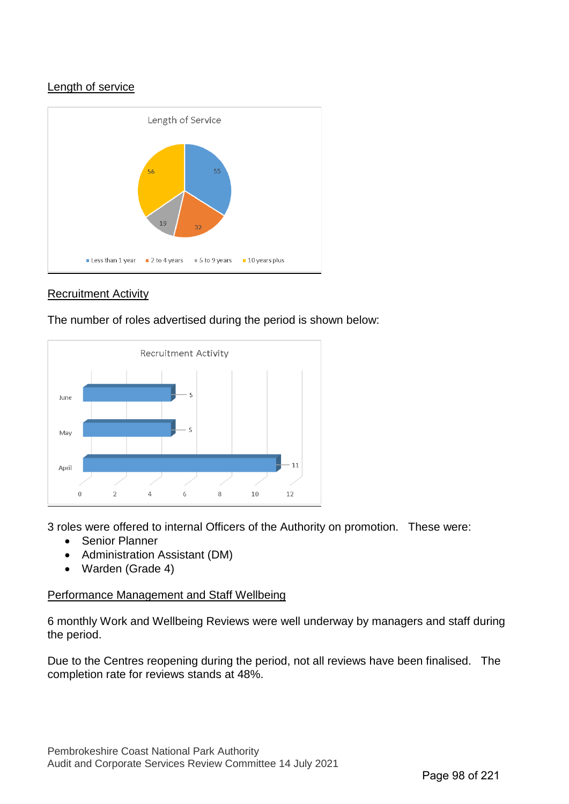## Length of service



## Recruitment Activity

The number of roles advertised during the period is shown below:



3 roles were offered to internal Officers of the Authority on promotion. These were:

- Senior Planner
- Administration Assistant (DM)
- Warden (Grade 4)

### Performance Management and Staff Wellbeing

6 monthly Work and Wellbeing Reviews were well underway by managers and staff during the period.

Due to the Centres reopening during the period, not all reviews have been finalised. The completion rate for reviews stands at 48%.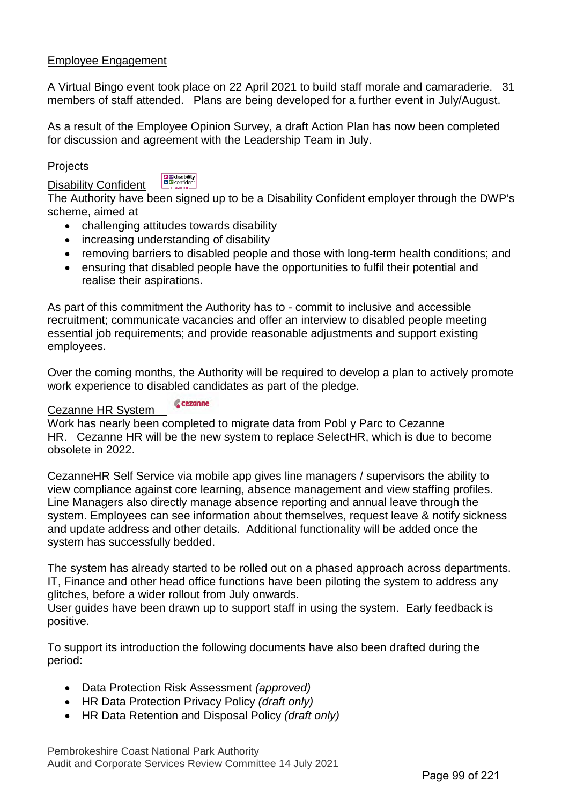## Employee Engagement

A Virtual Bingo event took place on 22 April 2021 to build staff morale and camaraderie. 31 members of staff attended. Plans are being developed for a further event in July/August.

As a result of the Employee Opinion Survey, a draft Action Plan has now been completed for discussion and agreement with the Leadership Team in July.

### **Projects**

Disability Confident

**B** disability

The Authority have been signed up to be a Disability Confident employer through the DWP's scheme, aimed at

- challenging attitudes towards disability
- increasing understanding of disability
- removing barriers to disabled people and those with long-term health conditions; and
- ensuring that disabled people have the opportunities to fulfil their potential and realise their aspirations.

As part of this commitment the Authority has to - commit to inclusive and accessible recruitment; communicate vacancies and offer an interview to disabled people meeting essential job requirements; and provide reasonable adjustments and support existing employees.

Over the coming months, the Authority will be required to develop a plan to actively promote work experience to disabled candidates as part of the pledge.

#### cezanne Cezanne HR System

Work has nearly been completed to migrate data from Pobl y Parc to Cezanne HR. Cezanne HR will be the new system to replace SelectHR, which is due to become obsolete in 2022.

CezanneHR Self Service via mobile app gives line managers / supervisors the ability to view compliance against core learning, absence management and view staffing profiles. Line Managers also directly manage absence reporting and annual leave through the system. Employees can see information about themselves, request leave & notify sickness and update address and other details. Additional functionality will be added once the system has successfully bedded.

The system has already started to be rolled out on a phased approach across departments. IT, Finance and other head office functions have been piloting the system to address any glitches, before a wider rollout from July onwards.

User guides have been drawn up to support staff in using the system. Early feedback is positive.

To support its introduction the following documents have also been drafted during the period:

- Data Protection Risk Assessment *(approved)*
- HR Data Protection Privacy Policy *(draft only)*
- HR Data Retention and Disposal Policy *(draft only)*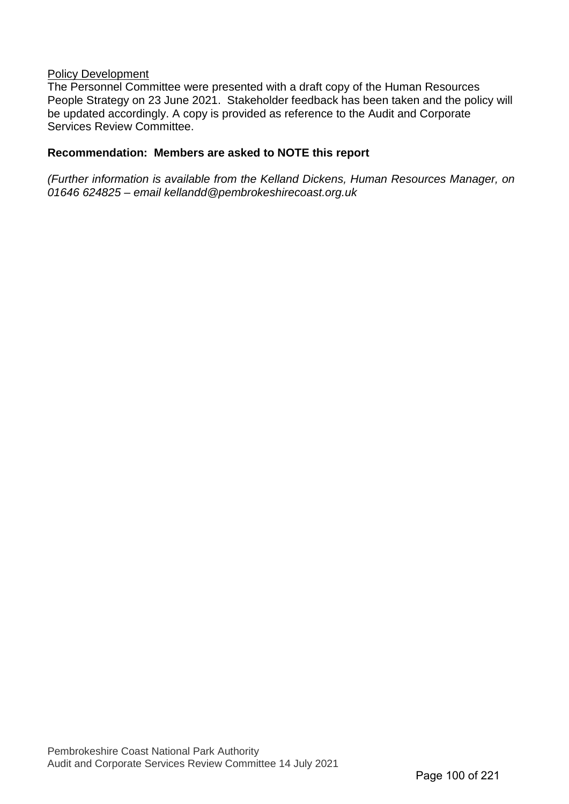#### Policy Development

The Personnel Committee were presented with a draft copy of the Human Resources People Strategy on 23 June 2021. Stakeholder feedback has been taken and the policy will be updated accordingly. A copy is provided as reference to the Audit and Corporate Services Review Committee.

### **Recommendation: Members are asked to NOTE this report**

*(Further information is available from the Kelland Dickens, Human Resources Manager, on 01646 624825 – email kellandd@pembrokeshirecoast.org.uk*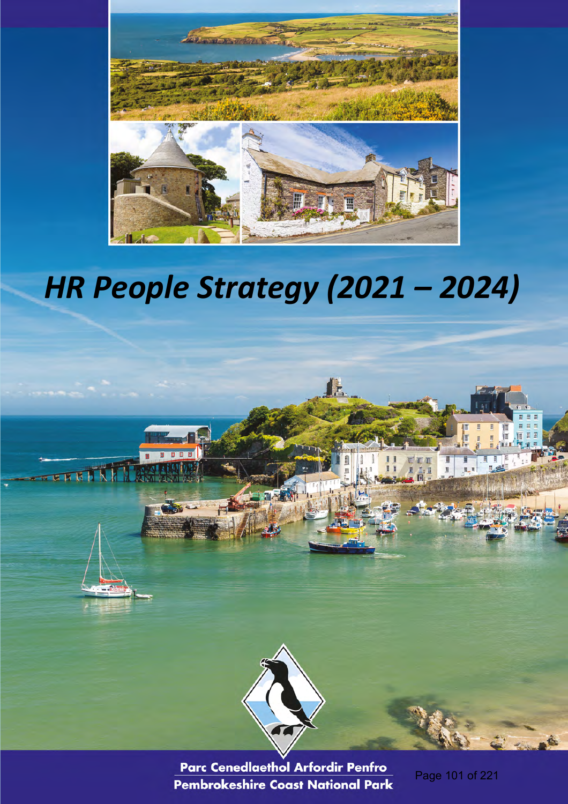

# *HR People Strategy (2021 – 2024)*



Parc Cenedlaethol Arfordir Penfro Pembrokeshire Coast National Park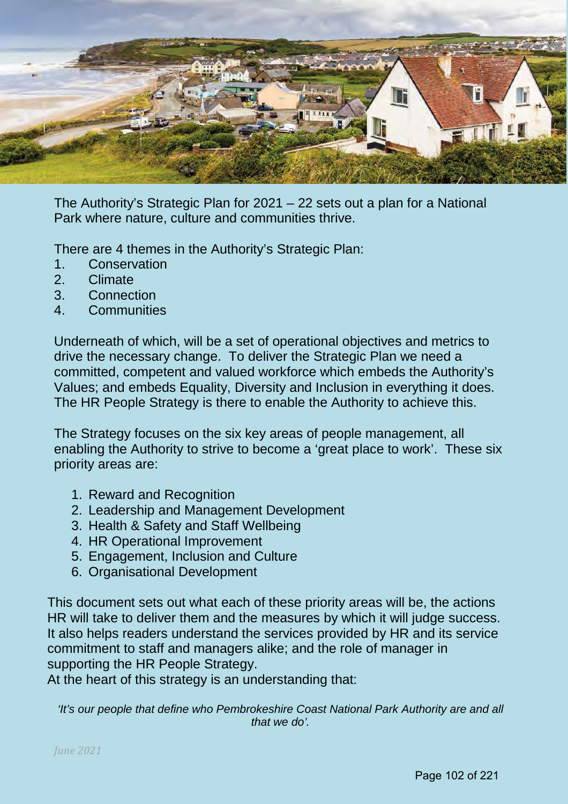

The Authority's Strategic Plan for 2021 – 22 sets out a plan for a National Park where nature, culture and communities thrive.

There are 4 themes in the Authority's Strategic Plan:

- 1. Conservation<br>2 Climate
- 2. Climate
- 3. Connection
- 4. Communities

Underneath of which, will be a set of operational objectives and metrics to drive the necessary change. To deliver the Strategic Plan we need a committed, competent and valued workforce which embeds the Authority's Values; and embeds Equality, Diversity and Inclusion in everything it does. The HR People Strategy is there to enable the Authority to achieve this.

The Strategy focuses on the six key areas of people management, all enabling the Authority to strive to become a 'great place to work'. These six priority areas are:

- 1. Reward and Recognition
- 2. Leadership and Management Development
- 3. Health & Safety and Staff Wellbeing
- 4. HR Operational Improvement
- 5. Engagement, Inclusion and Culture
- 6. Organisational Development

This document sets out what each of these priority areas will be, the actions HR will take to deliver them and the measures by which it will judge success. It also helps readers understand the services provided by HR and its service commitment to staff and managers alike; and the role of manager in supporting the HR People Strategy.

At the heart of this strategy is an understanding that:

*'It's our people that define who Pembrokeshire Coast National Park Authority are and all that we do'.*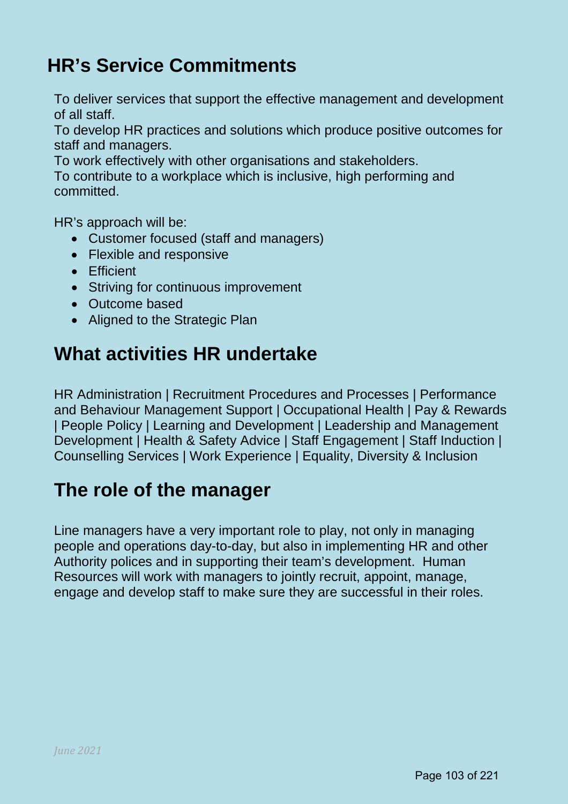## **HR's Service Commitments**

To deliver services that support the effective management and development of all staff.

To develop HR practices and solutions which produce positive outcomes for staff and managers.

To work effectively with other organisations and stakeholders.

To contribute to a workplace which is inclusive, high performing and committed.

HR's approach will be:

- Customer focused (staff and managers)
- Flexible and responsive
- Efficient
- Striving for continuous improvement
- Outcome based
- Aligned to the Strategic Plan

## **What activities HR undertake**

HR Administration | Recruitment Procedures and Processes | Performance and Behaviour Management Support | Occupational Health | Pay & Rewards | People Policy | Learning and Development | Leadership and Management Development | Health & Safety Advice | Staff Engagement | Staff Induction | Counselling Services | Work Experience | Equality, Diversity & Inclusion

## **The role of the manager**

Line managers have a very important role to play, not only in managing people and operations day-to-day, but also in implementing HR and other Authority polices and in supporting their team's development. Human Resources will work with managers to jointly recruit, appoint, manage, engage and develop staff to make sure they are successful in their roles.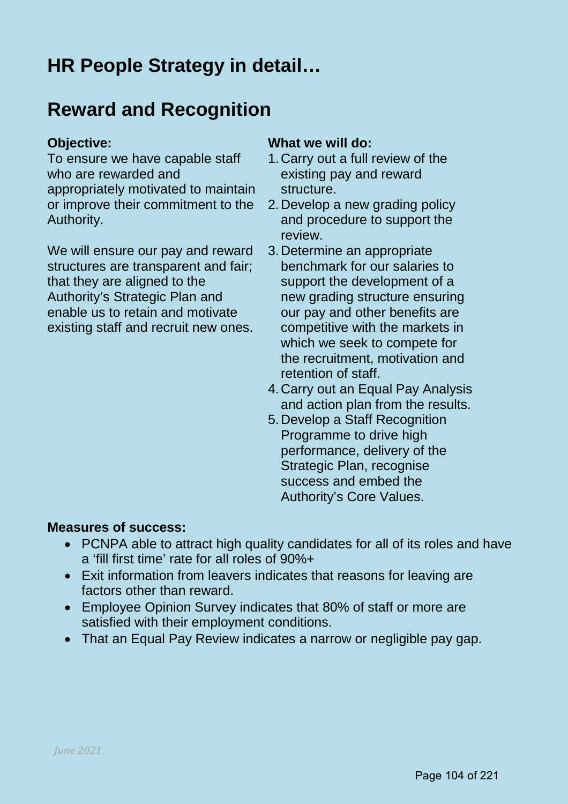## **HR People Strategy in detail…**

## **Reward and Recognition**

To ensure we have capable staff who are rewarded and appropriately motivated to maintain or improve their commitment to the Authority.

We will ensure our pay and reward structures are transparent and fair; that they are aligned to the Authority's Strategic Plan and enable us to retain and motivate existing staff and recruit new ones.

## **Objective: What we will do:**

- 1.Carry out a full review of the existing pay and reward structure.
- 2.Develop a new grading policy and procedure to support the review.
- 3.Determine an appropriate benchmark for our salaries to support the development of a new grading structure ensuring our pay and other benefits are competitive with the markets in which we seek to compete for the recruitment, motivation and retention of staff.
- 4.Carry out an Equal Pay Analysis and action plan from the results.
- 5.Develop a Staff Recognition Programme to drive high performance, delivery of the Strategic Plan, recognise success and embed the Authority's Core Values.

## **Measures of success:**

- PCNPA able to attract high quality candidates for all of its roles and have a 'fill first time' rate for all roles of 90%+
- Exit information from leavers indicates that reasons for leaving are factors other than reward.
- Employee Opinion Survey indicates that 80% of staff or more are satisfied with their employment conditions.
- That an Equal Pay Review indicates a narrow or negligible pay gap.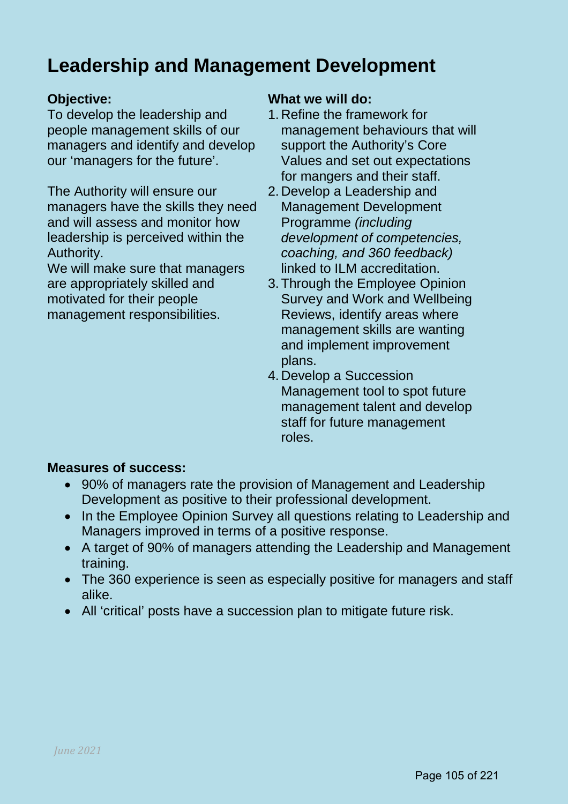## **Leadership and Management Development**

To develop the leadership and people management skills of our managers and identify and develop our 'managers for the future'.

The Authority will ensure our managers have the skills they need and will assess and monitor how leadership is perceived within the Authority.

We will make sure that managers are appropriately skilled and motivated for their people management responsibilities.

## **Objective: What we will do:**

- 1. Refine the framework for management behaviours that will support the Authority's Core Values and set out expectations for mangers and their staff.
- 2. Develop a Leadership and Management Development Programme *(including development of competencies, coaching, and 360 feedback)* linked to ILM accreditation.
- 3.Through the Employee Opinion Survey and Work and Wellbeing Reviews, identify areas where management skills are wanting and implement improvement plans.
- 4. Develop a Succession Management tool to spot future management talent and develop staff for future management roles.

## **Measures of success:**

- 90% of managers rate the provision of Management and Leadership Development as positive to their professional development.
- In the Employee Opinion Survey all questions relating to Leadership and Managers improved in terms of a positive response.
- A target of 90% of managers attending the Leadership and Management training.
- The 360 experience is seen as especially positive for managers and staff alike.
- All 'critical' posts have a succession plan to mitigate future risk.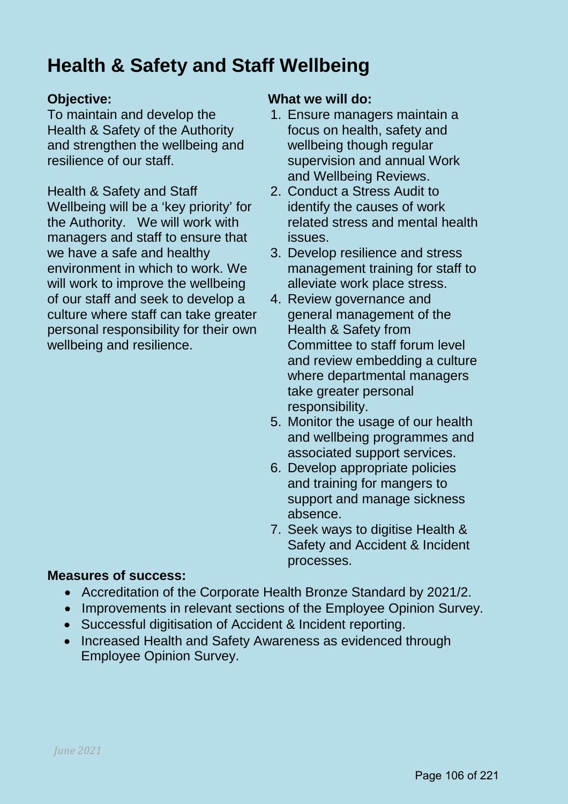## **Health & Safety and Staff Wellbeing**

To maintain and develop the Health & Safety of the Authority and strengthen the wellbeing and resilience of our staff.

Health & Safety and Staff Wellbeing will be a 'key priority' for the Authority. We will work with managers and staff to ensure that we have a safe and healthy environment in which to work. We will work to improve the wellbeing of our staff and seek to develop a culture where staff can take greater personal responsibility for their own wellbeing and resilience.

## **Objective: What we will do:**

- 1. Ensure managers maintain a focus on health, safety and wellbeing though regular supervision and annual Work and Wellbeing Reviews.
- 2. Conduct a Stress Audit to identify the causes of work related stress and mental health issues.
- 3. Develop resilience and stress management training for staff to alleviate work place stress.
- 4. Review governance and general management of the Health & Safety from Committee to staff forum level and review embedding a culture where departmental managers take greater personal responsibility.
- 5. Monitor the usage of our health and wellbeing programmes and associated support services.
- 6. Develop appropriate policies and training for mangers to support and manage sickness absence.
- 7. Seek ways to digitise Health & Safety and Accident & Incident processes.

## **Measures of success:**

- Accreditation of the Corporate Health Bronze Standard by 2021/2.
- Improvements in relevant sections of the Employee Opinion Survey.
- Successful digitisation of Accident & Incident reporting.
- Increased Health and Safety Awareness as evidenced through Employee Opinion Survey.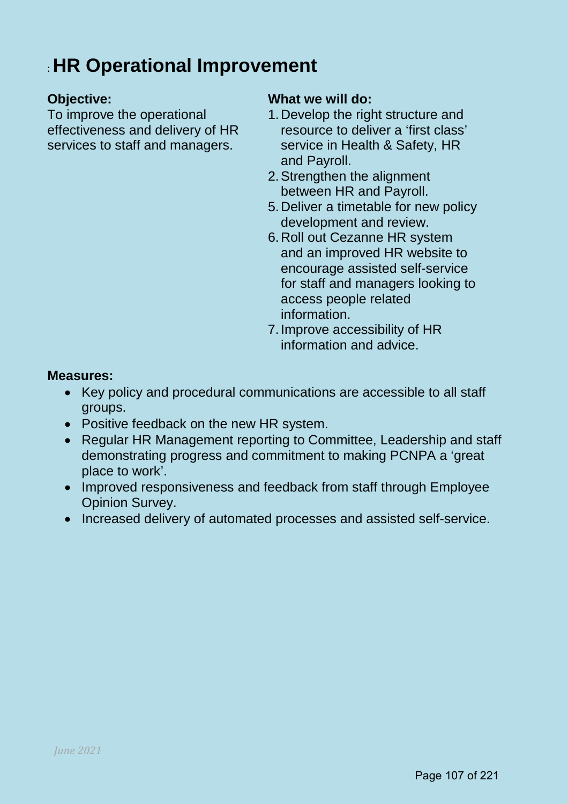## : **HR Operational Improvement**

To improve the operational effectiveness and delivery of HR services to staff and managers.

## **Objective:** What we will do:

- 1.Develop the right structure and resource to deliver a 'first class' service in Health & Safety, HR and Payroll.
- 2.Strengthen the alignment between HR and Payroll.
- 5.Deliver a timetable for new policy development and review.
- 6.Roll out Cezanne HR system and an improved HR website to encourage assisted self-service for staff and managers looking to access people related information.
- 7.Improve accessibility of HR information and advice.

## **Measures:**

- Key policy and procedural communications are accessible to all staff groups.
- Positive feedback on the new HR system.
- Regular HR Management reporting to Committee, Leadership and staff demonstrating progress and commitment to making PCNPA a 'great place to work'.
- Improved responsiveness and feedback from staff through Employee Opinion Survey.
- Increased delivery of automated processes and assisted self-service.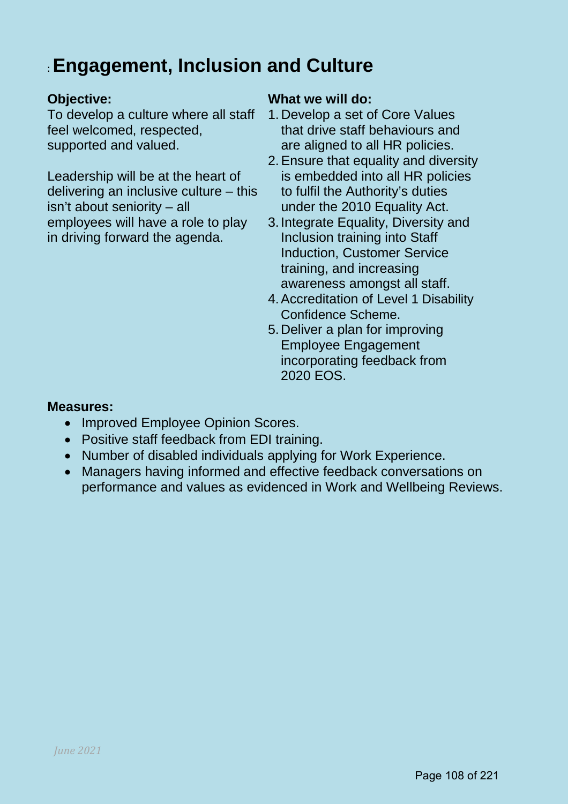## : **Engagement, Inclusion and Culture**

To develop a culture where all staff feel welcomed, respected, supported and valued.

Leadership will be at the heart of delivering an inclusive culture – this isn't about seniority – all employees will have a role to play in driving forward the agenda.

## **Objective: What we will do:**

- 1. Develop a set of Core Values that drive staff behaviours and are aligned to all HR policies.
- 2.Ensure that equality and diversity is embedded into all HR policies to fulfil the Authority's duties under the 2010 Equality Act.
- 3.Integrate Equality, Diversity and Inclusion training into Staff Induction, Customer Service training, and increasing awareness amongst all staff.
- 4.Accreditation of Level 1 Disability Confidence Scheme.
- 5.Deliver a plan for improving Employee Engagement incorporating feedback from 2020 EOS.

## **Measures:**

- Improved Employee Opinion Scores.
- Positive staff feedback from EDI training.
- Number of disabled individuals applying for Work Experience.
- Managers having informed and effective feedback conversations on performance and values as evidenced in Work and Wellbeing Reviews.